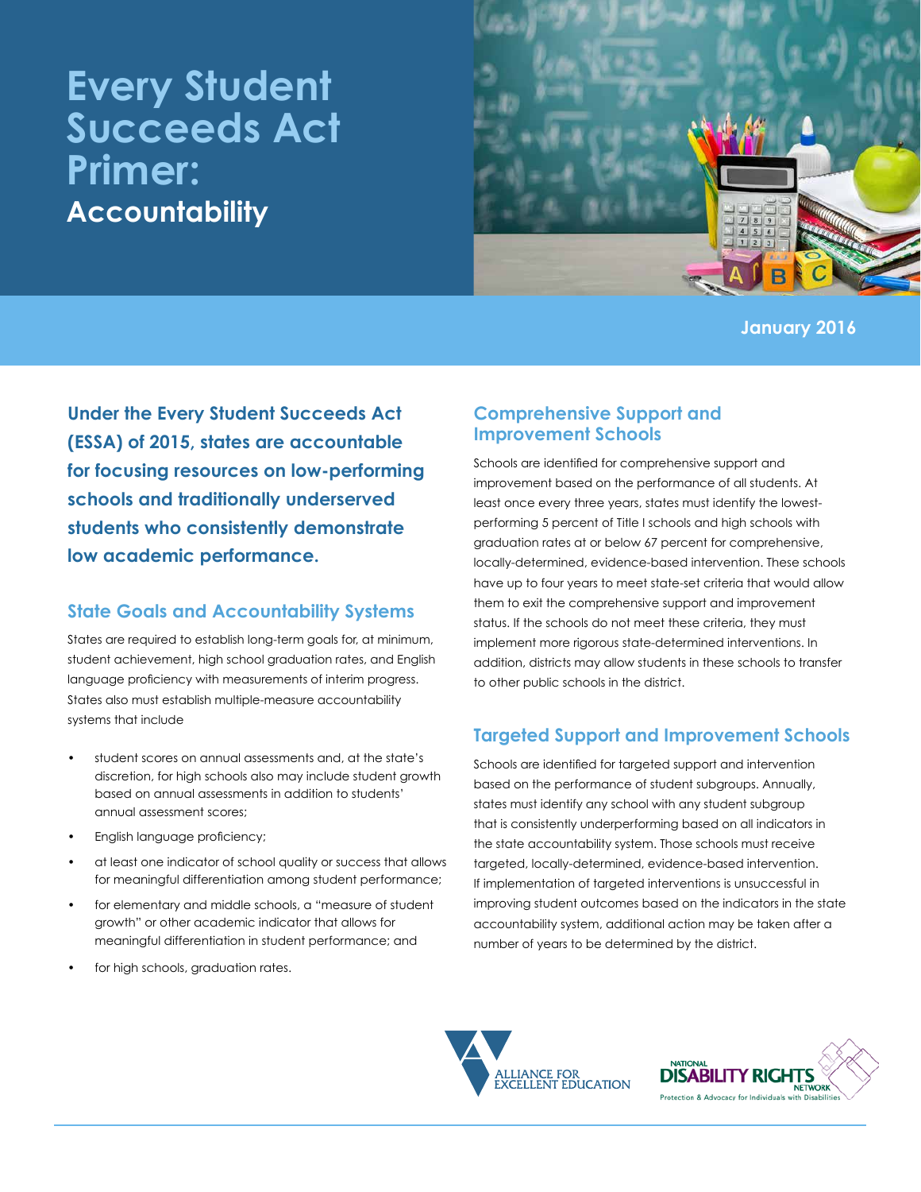# **Every Student Succeeds Act Primer: Accountability**



**January 2016**

**Under the Every Student Succeeds Act (ESSA) of 2015, states are accountable for focusing resources on low-performing schools and traditionally underserved students who consistently demonstrate low academic performance.**

# **State Goals and Accountability Systems**

States are required to establish long-term goals for, at minimum, student achievement, high school graduation rates, and English language proficiency with measurements of interim progress. States also must establish multiple-measure accountability systems that include

- student scores on annual assessments and, at the state's discretion, for high schools also may include student growth based on annual assessments in addition to students' annual assessment scores;
- English language proficiency;
- at least one indicator of school quality or success that allows for meaningful differentiation among student performance;
- for elementary and middle schools, a "measure of student growth" or other academic indicator that allows for meaningful differentiation in student performance; and
- for high schools, graduation rates.

### **Comprehensive Support and Improvement Schools**

Schools are identified for comprehensive support and improvement based on the performance of all students. At least once every three years, states must identify the lowestperforming 5 percent of Title I schools and high schools with graduation rates at or below 67 percent for comprehensive, locally-determined, evidence-based intervention. These schools have up to four years to meet state-set criteria that would allow them to exit the comprehensive support and improvement status. If the schools do not meet these criteria, they must implement more rigorous state-determined interventions. In addition, districts may allow students in these schools to transfer to other public schools in the district.

# **Targeted Support and Improvement Schools**

Schools are identified for targeted support and intervention based on the performance of student subgroups. Annually, states must identify any school with any student subgroup that is consistently underperforming based on all indicators in the state accountability system. Those schools must receive targeted, locally-determined, evidence-based intervention. If implementation of targeted interventions is unsuccessful in improving student outcomes based on the indicators in the state accountability system, additional action may be taken after a number of years to be determined by the district.